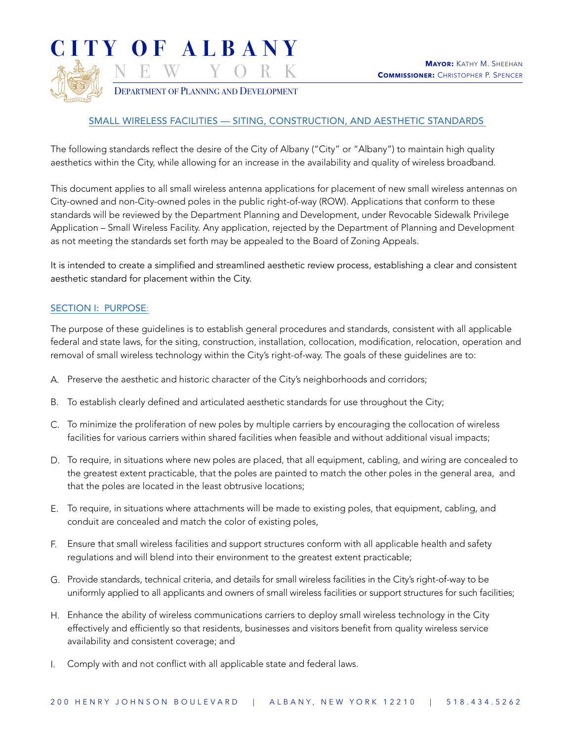

DEPARTMENT OF PLANNING AND DEVELOPMENT

## SMALL WIRELESS FACILITIES — SITING, CONSTRUCTION, AND AESTHETIC STANDARDS

The following standards reflect the desire of the City of Albany ("City" or "Albany") to maintain high quality aesthetics within the City, while allowing for an increase in the availability and quality of wireless broadband.

This document applies to all small wireless antenna applications for placement of new small wireless antennas on City-owned and non-City-owned poles in the public right-of-way (ROW). Applications that conform to these standards will be reviewed by the Department Planning and Development, under Revocable Sidewalk Privilege Application – Small Wireless Facility. Any application, rejected by the Department of Planning and Development as not meeting the standards set forth may be appealed to the Board of Zoning Appeals.

It is intended to create a simplified and streamlined aesthetic review process, establishing a clear and consistent aesthetic standard for placement within the City.

## SECTION I: PURPOSE:

The purpose of these guidelines is to establish general procedures and standards, consistent with all applicable federal and state laws, for the siting, construction, installation, collocation, modification, relocation, operation and removal of small wireless technology within the City's right-of-way. The goals of these guidelines are to:

- A. Preserve the aesthetic and historic character of the City's neighborhoods and corridors;
- B. To establish clearly defined and articulated aesthetic standards for use throughout the City;
- C. To minimize the proliferation of new poles by multiple carriers by encouraging the collocation of wireless facilities for various carriers within shared facilities when feasible and without additional visual impacts;
- D. To require, in situations where new poles are placed, that all equipment, cabling, and wiring are concealed to the greatest extent practicable, that the poles are painted to match the other poles in the general area, and that the poles are located in the least obtrusive locations;
- E. To require, in situations where attachments will be made to existing poles, that equipment, cabling, and conduit are concealed and match the color of existing poles,
- F. Ensure that small wireless facilities and support structures conform with all applicable health and safety regulations and will blend into their environment to the greatest extent practicable;
- G. Provide standards, technical criteria, and details for small wireless facilities in the City's right-of-way to be uniformly applied to all applicants and owners of small wireless facilities or support structures for such facilities;
- H. Enhance the ability of wireless communications carriers to deploy small wireless technology in the City effectively and efficiently so that residents, businesses and visitors benefit from quality wireless service availability and consistent coverage; and
- I. Comply with and not conflict with all applicable state and federal laws.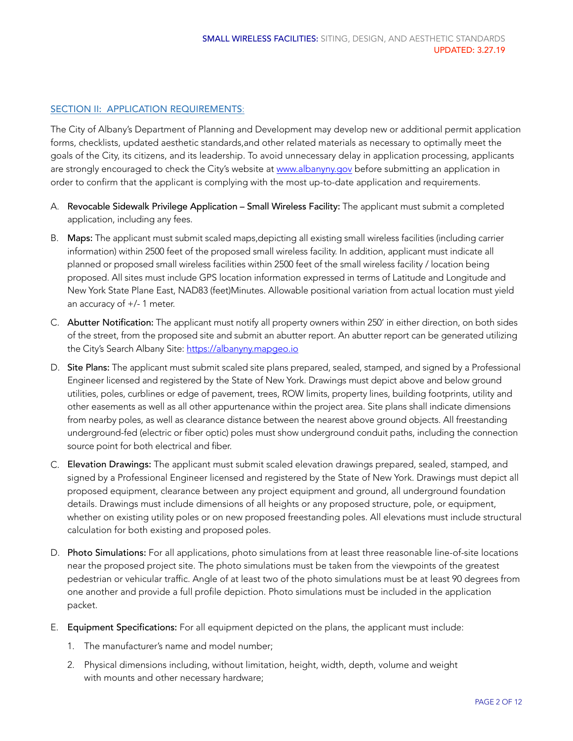### SECTION II: APPLICATION REQUIREMENTS:

The City of Albany's Department of Planning and Development may develop new or additional permit application forms, checklists, updated aesthetic standards,and other related materials as necessary to optimally meet the goals of the City, its citizens, and its leadership. To avoid unnecessary delay in application processing, applicants are strongly encouraged to check the City's website at [www.albanyny.gov](http://www.albanyny.gov) before submitting an application in order to confirm that the applicant is complying with the most up-to-date application and requirements.

- A. Revocable Sidewalk Privilege Application Small Wireless Facility: The applicant must submit a completed application, including any fees.
- B. Maps: The applicant must submit scaled maps,depicting all existing small wireless facilities (including carrier information) within 2500 feet of the proposed small wireless facility. In addition, applicant must indicate all planned or proposed small wireless facilities within 2500 feet of the small wireless facility / location being proposed. All sites must include GPS location information expressed in terms of Latitude and Longitude and New York State Plane East, NAD83 (feet)Minutes. Allowable positional variation from actual location must yield an accuracy of +/- 1 meter.
- C. Abutter Notification: The applicant must notify all property owners within 250' in either direction, on both sides of the street, from the proposed site and submit an abutter report. An abutter report can be generated utilizing the City's Search Albany Site: <https://albanyny.mapgeo.io>
- D. Site Plans: The applicant must submit scaled site plans prepared, sealed, stamped, and signed by a Professional Engineer licensed and registered by the State of New York. Drawings must depict above and below ground utilities, poles, curblines or edge of pavement, trees, ROW limits, property lines, building footprints, utility and other easements as well as all other appurtenance within the project area. Site plans shall indicate dimensions from nearby poles, as well as clearance distance between the nearest above ground objects. All freestanding underground-fed (electric or fiber optic) poles must show underground conduit paths, including the connection source point for both electrical and fiber.
- C. Elevation Drawings: The applicant must submit scaled elevation drawings prepared, sealed, stamped, and signed by a Professional Engineer licensed and registered by the State of New York. Drawings must depict all proposed equipment, clearance between any project equipment and ground, all underground foundation details. Drawings must include dimensions of all heights or any proposed structure, pole, or equipment, whether on existing utility poles or on new proposed freestanding poles. All elevations must include structural calculation for both existing and proposed poles.
- D. Photo Simulations: For all applications, photo simulations from at least three reasonable line-of-site locations near the proposed project site. The photo simulations must be taken from the viewpoints of the greatest pedestrian or vehicular traffic. Angle of at least two of the photo simulations must be at least 90 degrees from one another and provide a full profile depiction. Photo simulations must be included in the application packet.
- E. Equipment Specifications: For all equipment depicted on the plans, the applicant must include:
	- 1. The manufacturer's name and model number;
	- 2. Physical dimensions including, without limitation, height, width, depth, volume and weight with mounts and other necessary hardware;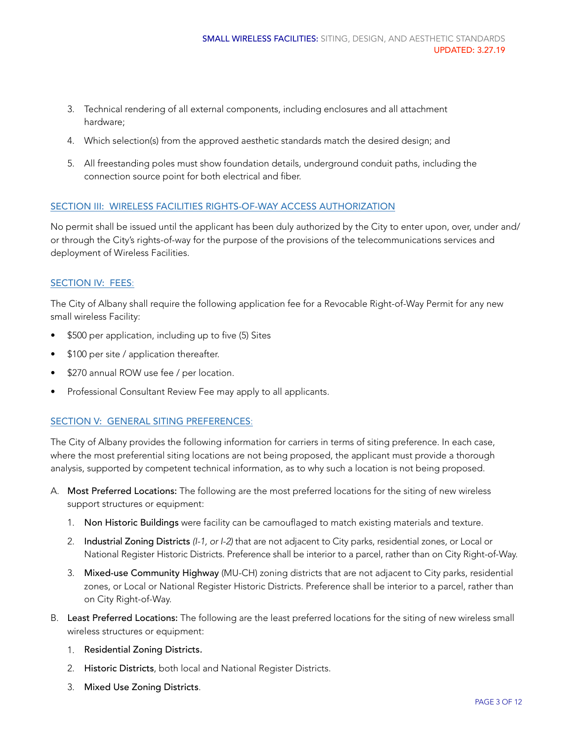- 3. Technical rendering of all external components, including enclosures and all attachment hardware;
- 4. Which selection(s) from the approved aesthetic standards match the desired design; and
- 5. All freestanding poles must show foundation details, underground conduit paths, including the connection source point for both electrical and fiber.

### SECTION III: WIRELESS FACILITIES RIGHTS-OF-WAY ACCESS AUTHORIZATION

No permit shall be issued until the applicant has been duly authorized by the City to enter upon, over, under and/ or through the City's rights-of-way for the purpose of the provisions of the telecommunications services and deployment of Wireless Facilities.

## SECTION IV: FEES:

The City of Albany shall require the following application fee for a Revocable Right-of-Way Permit for any new small wireless Facility:

- \$500 per application, including up to five (5) Sites
- \$100 per site / application thereafter.
- \$270 annual ROW use fee / per location.
- Professional Consultant Review Fee may apply to all applicants.

#### SECTION V: GENERAL SITING PREFERENCES:

The City of Albany provides the following information for carriers in terms of siting preference. In each case, where the most preferential siting locations are not being proposed, the applicant must provide a thorough analysis, supported by competent technical information, as to why such a location is not being proposed.

- A. Most Preferred Locations: The following are the most preferred locations for the siting of new wireless support structures or equipment:
	- 1. Non Historic Buildings were facility can be camouflaged to match existing materials and texture.
	- 2. Industrial Zoning Districts *(I-1, or I-2)* that are not adjacent to City parks, residential zones, or Local or National Register Historic Districts. Preference shall be interior to a parcel, rather than on City Right-of-Way.
	- 3. Mixed-use Community Highway (MU-CH) zoning districts that are not adjacent to City parks, residential zones, or Local or National Register Historic Districts. Preference shall be interior to a parcel, rather than on City Right-of-Way.
- B. Least Preferred Locations: The following are the least preferred locations for the siting of new wireless small wireless structures or equipment:
	- 1. Residential Zoning Districts*.*
	- 2. Historic Districts, both local and National Register Districts.
	- 3. Mixed Use Zoning Districts*.*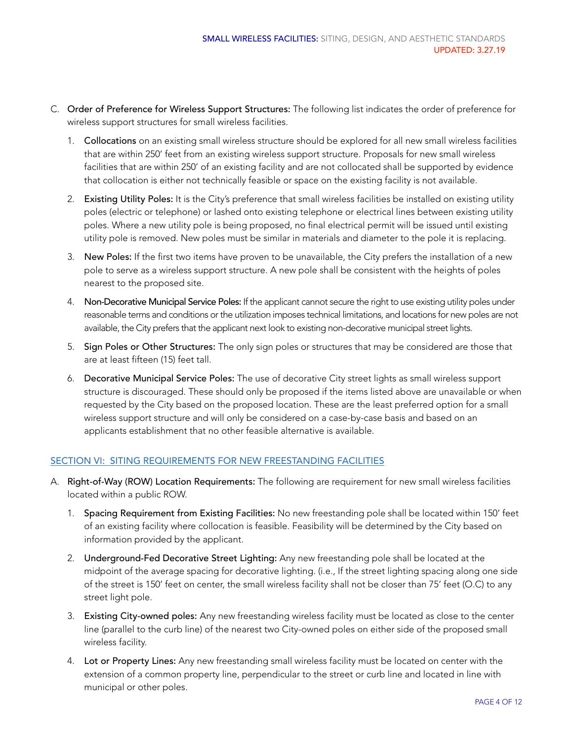- C. Order of Preference for Wireless Support Structures: The following list indicates the order of preference for wireless support structures for small wireless facilities.
	- 1. Collocations on an existing small wireless structure should be explored for all new small wireless facilities that are within 250' feet from an existing wireless support structure. Proposals for new small wireless facilities that are within 250' of an existing facility and are not collocated shall be supported by evidence that collocation is either not technically feasible or space on the existing facility is not available.
	- 2. Existing Utility Poles: It is the City's preference that small wireless facilities be installed on existing utility poles (electric or telephone) or lashed onto existing telephone or electrical lines between existing utility poles. Where a new utility pole is being proposed, no final electrical permit will be issued until existing utility pole is removed. New poles must be similar in materials and diameter to the pole it is replacing.
	- 3. New Poles: If the first two items have proven to be unavailable, the City prefers the installation of a new pole to serve as a wireless support structure. A new pole shall be consistent with the heights of poles nearest to the proposed site.
	- 4. Non-Decorative Municipal Service Poles: If the applicant cannot secure the right to use existing utility poles under reasonable terms and conditions or the utilization imposes technical limitations, and locations for new poles are not available, the City prefers that the applicant next look to existing non-decorative municipal street lights.
	- 5. Sign Poles or Other Structures: The only sign poles or structures that may be considered are those that are at least fifteen (15) feet tall.
	- 6. Decorative Municipal Service Poles: The use of decorative City street lights as small wireless support structure is discouraged. These should only be proposed if the items listed above are unavailable or when requested by the City based on the proposed location. These are the least preferred option for a small wireless support structure and will only be considered on a case-by-case basis and based on an applicants establishment that no other feasible alternative is available.

# SECTION VI: SITING REQUIREMENTS FOR NEW FREESTANDING FACILITIES

- A. Right-of-Way (ROW) Location Requirements: The following are requirement for new small wireless facilities located within a public ROW.
	- 1. Spacing Requirement from Existing Facilities: No new freestanding pole shall be located within 150' feet of an existing facility where collocation is feasible. Feasibility will be determined by the City based on information provided by the applicant.
	- 2. Underground-Fed Decorative Street Lighting: Any new freestanding pole shall be located at the midpoint of the average spacing for decorative lighting. (i.e., If the street lighting spacing along one side of the street is 150' feet on center, the small wireless facility shall not be closer than 75' feet (O.C) to any street light pole.
	- 3. Existing City-owned poles: Any new freestanding wireless facility must be located as close to the center line (parallel to the curb line) of the nearest two City-owned poles on either side of the proposed small wireless facility.
	- 4. Lot or Property Lines: Any new freestanding small wireless facility must be located on center with the extension of a common property line, perpendicular to the street or curb line and located in line with municipal or other poles.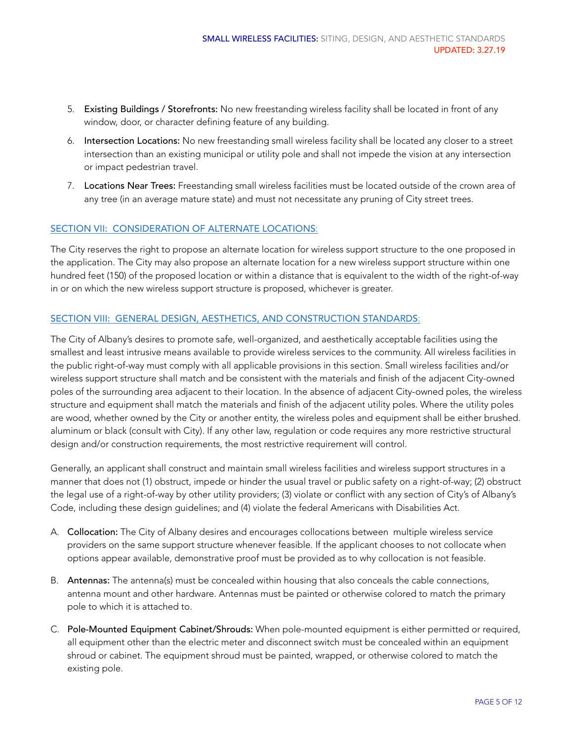- 5. Existing Buildings / Storefronts: No new freestanding wireless facility shall be located in front of any window, door, or character defining feature of any building.
- 6. Intersection Locations: No new freestanding small wireless facility shall be located any closer to a street intersection than an existing municipal or utility pole and shall not impede the vision at any intersection or impact pedestrian travel.
- 7. Locations Near Trees: Freestanding small wireless facilities must be located outside of the crown area of any tree (in an average mature state) and must not necessitate any pruning of City street trees.

## SECTION VII: CONSIDERATION OF ALTERNATE LOCATIONS:

The City reserves the right to propose an alternate location for wireless support structure to the one proposed in the application. The City may also propose an alternate location for a new wireless support structure within one hundred feet (150) of the proposed location or within a distance that is equivalent to the width of the right-of-way in or on which the new wireless support structure is proposed, whichever is greater.

## SECTION VIII: GENERAL DESIGN, AESTHETICS, AND CONSTRUCTION STANDARDS:

The City of Albany's desires to promote safe, well-organized, and aesthetically acceptable facilities using the smallest and least intrusive means available to provide wireless services to the community. All wireless facilities in the public right-of-way must comply with all applicable provisions in this section. Small wireless facilities and/or wireless support structure shall match and be consistent with the materials and finish of the adjacent City-owned poles of the surrounding area adjacent to their location. In the absence of adjacent City-owned poles, the wireless structure and equipment shall match the materials and finish of the adjacent utility poles. Where the utility poles are wood, whether owned by the City or another entity, the wireless poles and equipment shall be either brushed. aluminum or black (consult with City). If any other law, regulation or code requires any more restrictive structural design and/or construction requirements, the most restrictive requirement will control.

Generally, an applicant shall construct and maintain small wireless facilities and wireless support structures in a manner that does not (1) obstruct, impede or hinder the usual travel or public safety on a right-of-way; (2) obstruct the legal use of a right-of-way by other utility providers; (3) violate or conflict with any section of City's of Albany's Code, including these design guidelines; and (4) violate the federal Americans with Disabilities Act.

- A. Collocation: The City of Albany desires and encourages collocations between multiple wireless service providers on the same support structure whenever feasible. If the applicant chooses to not collocate when options appear available, demonstrative proof must be provided as to why collocation is not feasible.
- B. Antennas: The antenna(s) must be concealed within housing that also conceals the cable connections, antenna mount and other hardware. Antennas must be painted or otherwise colored to match the primary pole to which it is attached to.
- C. Pole-Mounted Equipment Cabinet/Shrouds: When pole-mounted equipment is either permitted or required, all equipment other than the electric meter and disconnect switch must be concealed within an equipment shroud or cabinet. The equipment shroud must be painted, wrapped, or otherwise colored to match the existing pole.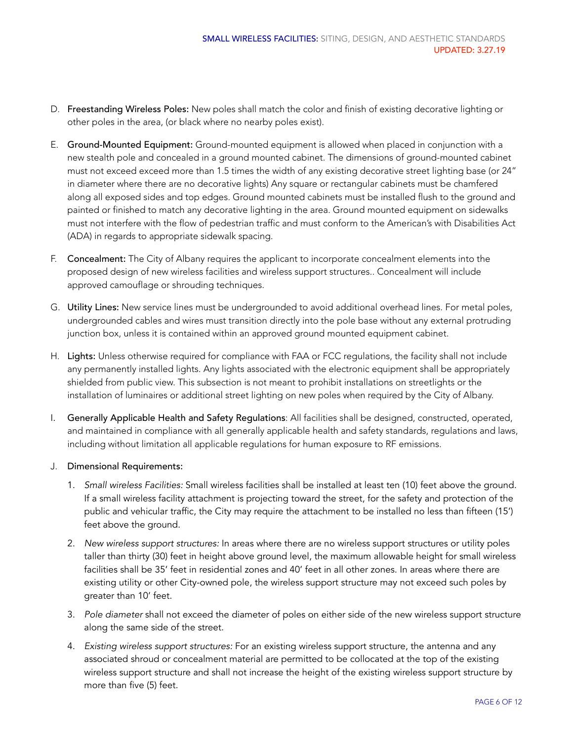- D. Freestanding Wireless Poles: New poles shall match the color and finish of existing decorative lighting or other poles in the area, (or black where no nearby poles exist).
- E. Ground-Mounted Equipment: Ground-mounted equipment is allowed when placed in conjunction with a new stealth pole and concealed in a ground mounted cabinet. The dimensions of ground-mounted cabinet must not exceed exceed more than 1.5 times the width of any existing decorative street lighting base (or 24" in diameter where there are no decorative lights) Any square or rectangular cabinets must be chamfered along all exposed sides and top edges. Ground mounted cabinets must be installed flush to the ground and painted or finished to match any decorative lighting in the area. Ground mounted equipment on sidewalks must not interfere with the flow of pedestrian traffic and must conform to the American's with Disabilities Act (ADA) in regards to appropriate sidewalk spacing.
- F. Concealment: The City of Albany requires the applicant to incorporate concealment elements into the proposed design of new wireless facilities and wireless support structures.. Concealment will include approved camouflage or shrouding techniques.
- G. Utility Lines: New service lines must be undergrounded to avoid additional overhead lines. For metal poles, undergrounded cables and wires must transition directly into the pole base without any external protruding junction box, unless it is contained within an approved ground mounted equipment cabinet.
- H. Lights: Unless otherwise required for compliance with FAA or FCC regulations, the facility shall not include any permanently installed lights. Any lights associated with the electronic equipment shall be appropriately shielded from public view. This subsection is not meant to prohibit installations on streetlights or the installation of luminaires or additional street lighting on new poles when required by the City of Albany.
- I. Generally Applicable Health and Safety Regulations: All facilities shall be designed, constructed, operated, and maintained in compliance with all generally applicable health and safety standards, regulations and laws, including without limitation all applicable regulations for human exposure to RF emissions.
- J. Dimensional Requirements:
	- 1. *Small wireless Facilities:* Small wireless facilities shall be installed at least ten (10) feet above the ground. If a small wireless facility attachment is projecting toward the street, for the safety and protection of the public and vehicular traffic, the City may require the attachment to be installed no less than fifteen (15') feet above the ground.
	- 2. *New wireless support structures:* In areas where there are no wireless support structures or utility poles taller than thirty (30) feet in height above ground level, the maximum allowable height for small wireless facilities shall be 35' feet in residential zones and 40' feet in all other zones. In areas where there are existing utility or other City-owned pole, the wireless support structure may not exceed such poles by greater than 10' feet.
	- 3. *Pole diameter* shall not exceed the diameter of poles on either side of the new wireless support structure along the same side of the street.
	- 4. *Existing wireless support structures:* For an existing wireless support structure, the antenna and any associated shroud or concealment material are permitted to be collocated at the top of the existing wireless support structure and shall not increase the height of the existing wireless support structure by more than five (5) feet.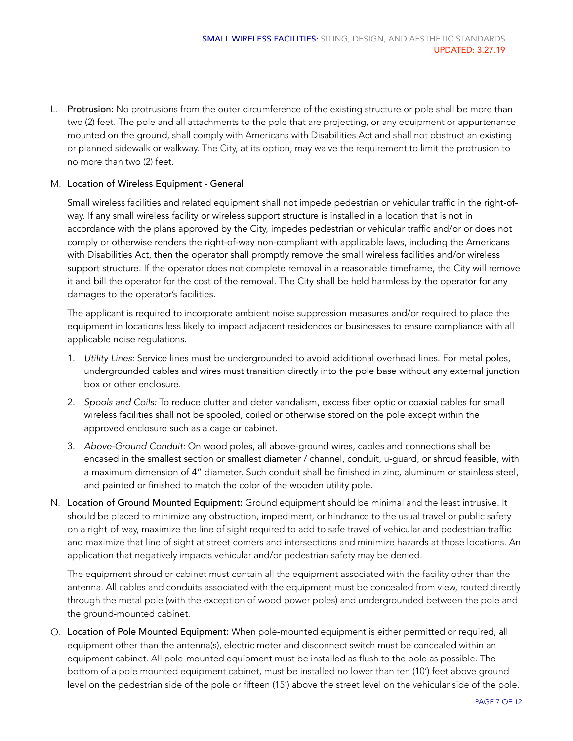L. Protrusion: No protrusions from the outer circumference of the existing structure or pole shall be more than two (2) feet. The pole and all attachments to the pole that are projecting, or any equipment or appurtenance mounted on the ground, shall comply with Americans with Disabilities Act and shall not obstruct an existing or planned sidewalk or walkway. The City, at its option, may waive the requirement to limit the protrusion to no more than two (2) feet.

### M. Location of Wireless Equipment - General

Small wireless facilities and related equipment shall not impede pedestrian or vehicular traffic in the right-ofway. If any small wireless facility or wireless support structure is installed in a location that is not in accordance with the plans approved by the City, impedes pedestrian or vehicular traffic and/or or does not comply or otherwise renders the right-of-way non-compliant with applicable laws, including the Americans with Disabilities Act, then the operator shall promptly remove the small wireless facilities and/or wireless support structure. If the operator does not complete removal in a reasonable timeframe, the City will remove it and bill the operator for the cost of the removal. The City shall be held harmless by the operator for any damages to the operator's facilities.

The applicant is required to incorporate ambient noise suppression measures and/or required to place the equipment in locations less likely to impact adjacent residences or businesses to ensure compliance with all applicable noise regulations.

- 1. *Utility Lines:* Service lines must be undergrounded to avoid additional overhead lines. For metal poles, undergrounded cables and wires must transition directly into the pole base without any external junction box or other enclosure.
- 2. *Spools and Coils:* To reduce clutter and deter vandalism, excess fiber optic or coaxial cables for small wireless facilities shall not be spooled, coiled or otherwise stored on the pole except within the approved enclosure such as a cage or cabinet.
- 3. *Above-Ground Conduit:* On wood poles, all above-ground wires, cables and connections shall be encased in the smallest section or smallest diameter / channel, conduit, u-guard, or shroud feasible, with a maximum dimension of 4" diameter. Such conduit shall be finished in zinc, aluminum or stainless steel, and painted or finished to match the color of the wooden utility pole.
- N. Location of Ground Mounted Equipment: Ground equipment should be minimal and the least intrusive. It should be placed to minimize any obstruction, impediment, or hindrance to the usual travel or public safety on a right-of-way, maximize the line of sight required to add to safe travel of vehicular and pedestrian traffic and maximize that line of sight at street corners and intersections and minimize hazards at those locations. An application that negatively impacts vehicular and/or pedestrian safety may be denied.

The equipment shroud or cabinet must contain all the equipment associated with the facility other than the antenna. All cables and conduits associated with the equipment must be concealed from view, routed directly through the metal pole (with the exception of wood power poles) and undergrounded between the pole and the ground-mounted cabinet.

O. Location of Pole Mounted Equipment: When pole-mounted equipment is either permitted or required, all equipment other than the antenna(s), electric meter and disconnect switch must be concealed within an equipment cabinet. All pole-mounted equipment must be installed as flush to the pole as possible. The bottom of a pole mounted equipment cabinet, must be installed no lower than ten (10') feet above ground level on the pedestrian side of the pole or fifteen (15') above the street level on the vehicular side of the pole.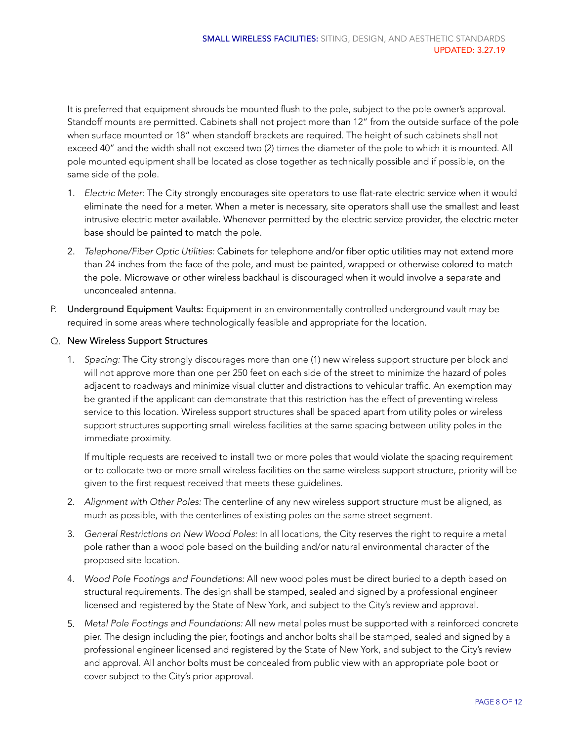It is preferred that equipment shrouds be mounted flush to the pole, subject to the pole owner's approval. Standoff mounts are permitted. Cabinets shall not project more than 12" from the outside surface of the pole when surface mounted or 18" when standoff brackets are required. The height of such cabinets shall not exceed 40" and the width shall not exceed two (2) times the diameter of the pole to which it is mounted. All pole mounted equipment shall be located as close together as technically possible and if possible, on the same side of the pole.

- 1. *Electric Meter:* The City strongly encourages site operators to use flat-rate electric service when it would eliminate the need for a meter. When a meter is necessary, site operators shall use the smallest and least intrusive electric meter available. Whenever permitted by the electric service provider, the electric meter base should be painted to match the pole.
- 2. *Telephone/Fiber Optic Utilities:* Cabinets for telephone and/or fiber optic utilities may not extend more than 24 inches from the face of the pole, and must be painted, wrapped or otherwise colored to match the pole. Microwave or other wireless backhaul is discouraged when it would involve a separate and unconcealed antenna.
- P. Underground Equipment Vaults: Equipment in an environmentally controlled underground vault may be required in some areas where technologically feasible and appropriate for the location.

## Q. New Wireless Support Structures

1. *Spacing:* The City strongly discourages more than one (1) new wireless support structure per block and will not approve more than one per 250 feet on each side of the street to minimize the hazard of poles adjacent to roadways and minimize visual clutter and distractions to vehicular traffic. An exemption may be granted if the applicant can demonstrate that this restriction has the effect of preventing wireless service to this location. Wireless support structures shall be spaced apart from utility poles or wireless support structures supporting small wireless facilities at the same spacing between utility poles in the immediate proximity.

If multiple requests are received to install two or more poles that would violate the spacing requirement or to collocate two or more small wireless facilities on the same wireless support structure, priority will be given to the first request received that meets these guidelines.

- 2. *Alignment with Other Poles:* The centerline of any new wireless support structure must be aligned, as much as possible, with the centerlines of existing poles on the same street segment.
- 3. *General Restrictions on New Wood Poles:* In all locations, the City reserves the right to require a metal pole rather than a wood pole based on the building and/or natural environmental character of the proposed site location.
- 4. *Wood Pole Footings and Foundations:* All new wood poles must be direct buried to a depth based on structural requirements. The design shall be stamped, sealed and signed by a professional engineer licensed and registered by the State of New York, and subject to the City's review and approval.
- 5. *Metal Pole Footings and Foundations:* All new metal poles must be supported with a reinforced concrete pier. The design including the pier, footings and anchor bolts shall be stamped, sealed and signed by a professional engineer licensed and registered by the State of New York, and subject to the City's review and approval. All anchor bolts must be concealed from public view with an appropriate pole boot or cover subject to the City's prior approval.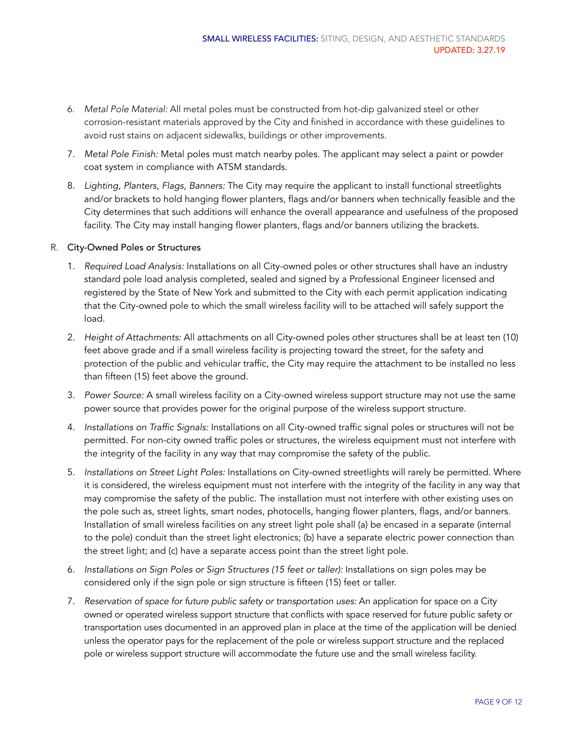- 6. *Metal Pole Material:* All metal poles must be constructed from hot-dip galvanized steel or other corrosion-resistant materials approved by the City and finished in accordance with these guidelines to avoid rust stains on adjacent sidewalks, buildings or other improvements.
- 7. *Metal Pole Finish:* Metal poles must match nearby poles. The applicant may select a paint or powder coat system in compliance with ATSM standards.
- 8. *Lighting, Planters, Flags, Banners:* The City may require the applicant to install functional streetlights and/or brackets to hold hanging flower planters, flags and/or banners when technically feasible and the City determines that such additions will enhance the overall appearance and usefulness of the proposed facility. The City may install hanging flower planters, flags and/or banners utilizing the brackets.

### R. City-Owned Poles or Structures

- 1. *Required Load Analysis:* Installations on all City-owned poles or other structures shall have an industry standard pole load analysis completed, sealed and signed by a Professional Engineer licensed and registered by the State of New York and submitted to the City with each permit application indicating that the City-owned pole to which the small wireless facility will to be attached will safely support the load.
- 2. *Height of Attachments:* All attachments on all City-owned poles other structures shall be at least ten (10) feet above grade and if a small wireless facility is projecting toward the street, for the safety and protection of the public and vehicular traffic, the City may require the attachment to be installed no less than fifteen (15) feet above the ground.
- 3. *Power Source:* A small wireless facility on a City-owned wireless support structure may not use the same power source that provides power for the original purpose of the wireless support structure.
- 4. *Installations on Traffic Signals:* Installations on all City-owned traffic signal poles or structures will not be permitted. For non-city owned traffic poles or structures, the wireless equipment must not interfere with the integrity of the facility in any way that may compromise the safety of the public.
- 5. *Installations on Street Light Poles:* Installations on City-owned streetlights will rarely be permitted. Where it is considered, the wireless equipment must not interfere with the integrity of the facility in any way that may compromise the safety of the public. The installation must not interfere with other existing uses on the pole such as, street lights, smart nodes, photocells, hanging flower planters, flags, and/or banners. Installation of small wireless facilities on any street light pole shall (a) be encased in a separate (internal to the pole) conduit than the street light electronics; (b) have a separate electric power connection than the street light; and (c) have a separate access point than the street light pole.
- 6. *Installations on Sign Poles or Sign Structures (15 feet or taller):* Installations on sign poles may be considered only if the sign pole or sign structure is fifteen (15) feet or taller.
- 7. *Reservation of space for future public safety or transportation uses:* An application for space on a City owned or operated wireless support structure that conflicts with space reserved for future public safety or transportation uses documented in an approved plan in place at the time of the application will be denied unless the operator pays for the replacement of the pole or wireless support structure and the replaced pole or wireless support structure will accommodate the future use and the small wireless facility.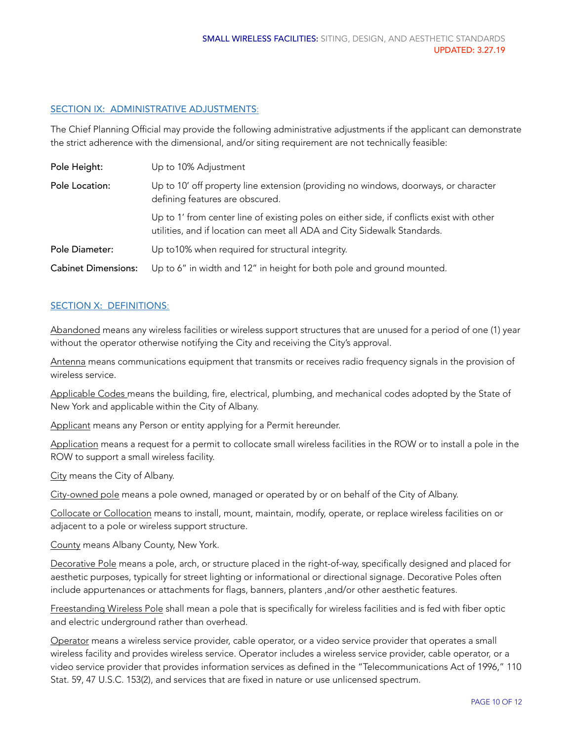### SECTION IX: ADMINISTRATIVE ADJUSTMENTS:

The Chief Planning Official may provide the following administrative adjustments if the applicant can demonstrate the strict adherence with the dimensional, and/or siting requirement are not technically feasible:

| Pole Height:               | Up to 10% Adjustment                                                                                                                                                  |
|----------------------------|-----------------------------------------------------------------------------------------------------------------------------------------------------------------------|
| Pole Location:             | Up to 10' off property line extension (providing no windows, doorways, or character<br>defining features are obscured.                                                |
|                            | Up to 1' from center line of existing poles on either side, if conflicts exist with other<br>utilities, and if location can meet all ADA and City Sidewalk Standards. |
| Pole Diameter:             | Up to 10% when required for structural integrity.                                                                                                                     |
| <b>Cabinet Dimensions:</b> | Up to 6" in width and 12" in height for both pole and ground mounted.                                                                                                 |

### SECTION X: DEFINITIONS:

Abandoned means any wireless facilities or wireless support structures that are unused for a period of one (1) year without the operator otherwise notifying the City and receiving the City's approval.

Antenna means communications equipment that transmits or receives radio frequency signals in the provision of wireless service.

Applicable Codes means the building, fire, electrical, plumbing, and mechanical codes adopted by the State of New York and applicable within the City of Albany.

Applicant means any Person or entity applying for a Permit hereunder.

Application means a request for a permit to collocate small wireless facilities in the ROW or to install a pole in the ROW to support a small wireless facility.

City means the City of Albany.

City-owned pole means a pole owned, managed or operated by or on behalf of the City of Albany.

Collocate or Collocation means to install, mount, maintain, modify, operate, or replace wireless facilities on or adjacent to a pole or wireless support structure.

County means Albany County, New York.

Decorative Pole means a pole, arch, or structure placed in the right-of-way, specifically designed and placed for aesthetic purposes, typically for street lighting or informational or directional signage. Decorative Poles often include appurtenances or attachments for flags, banners, planters ,and/or other aesthetic features.

Freestanding Wireless Pole shall mean a pole that is specifically for wireless facilities and is fed with fiber optic and electric underground rather than overhead.

Operator means a wireless service provider, cable operator, or a video service provider that operates a small wireless facility and provides wireless service. Operator includes a wireless service provider, cable operator, or a video service provider that provides information services as defined in the "Telecommunications Act of 1996," 110 Stat. 59, 47 U.S.C. 153(2), and services that are fixed in nature or use unlicensed spectrum.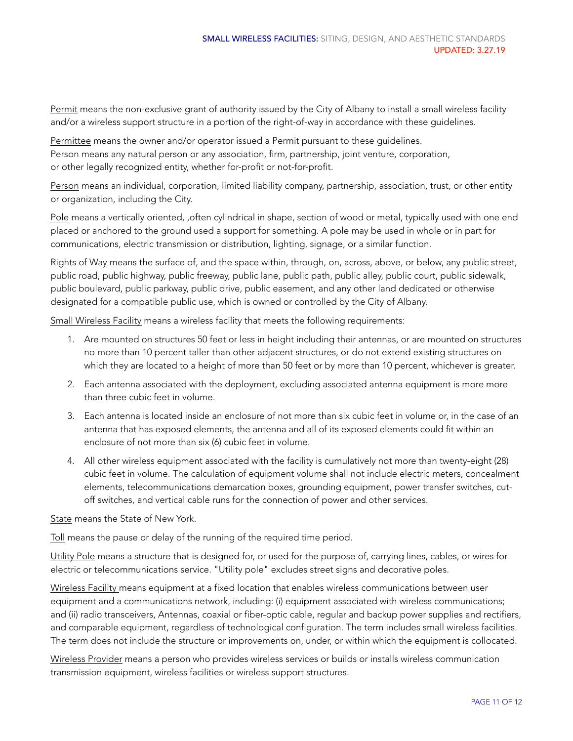Permit means the non-exclusive grant of authority issued by the City of Albany to install a small wireless facility and/or a wireless support structure in a portion of the right-of-way in accordance with these guidelines.

Permittee means the owner and/or operator issued a Permit pursuant to these guidelines. Person means any natural person or any association, firm, partnership, joint venture, corporation, or other legally recognized entity, whether for-profit or not-for-profit.

Person means an individual, corporation, limited liability company, partnership, association, trust, or other entity or organization, including the City.

Pole means a vertically oriented, ,often cylindrical in shape, section of wood or metal, typically used with one end placed or anchored to the ground used a support for something. A pole may be used in whole or in part for communications, electric transmission or distribution, lighting, signage, or a similar function.

Rights of Way means the surface of, and the space within, through, on, across, above, or below, any public street, public road, public highway, public freeway, public lane, public path, public alley, public court, public sidewalk, public boulevard, public parkway, public drive, public easement, and any other land dedicated or otherwise designated for a compatible public use, which is owned or controlled by the City of Albany.

Small Wireless Facility means a wireless facility that meets the following requirements:

- 1. Are mounted on structures 50 feet or less in height including their antennas, or are mounted on structures no more than 10 percent taller than other adjacent structures, or do not extend existing structures on which they are located to a height of more than 50 feet or by more than 10 percent, whichever is greater.
- 2. Each antenna associated with the deployment, excluding associated antenna equipment is more more than three cubic feet in volume.
- 3. Each antenna is located inside an enclosure of not more than six cubic feet in volume or, in the case of an antenna that has exposed elements, the antenna and all of its exposed elements could fit within an enclosure of not more than six (6) cubic feet in volume.
- 4. All other wireless equipment associated with the facility is cumulatively not more than twenty-eight (28) cubic feet in volume. The calculation of equipment volume shall not include electric meters, concealment elements, telecommunications demarcation boxes, grounding equipment, power transfer switches, cutoff switches, and vertical cable runs for the connection of power and other services.

State means the State of New York.

Toll means the pause or delay of the running of the required time period.

Utility Pole means a structure that is designed for, or used for the purpose of, carrying lines, cables, or wires for electric or telecommunications service. "Utility pole" excludes street signs and decorative poles.

Wireless Facility means equipment at a fixed location that enables wireless communications between user equipment and a communications network, including: (i) equipment associated with wireless communications; and (ii) radio transceivers, Antennas, coaxial or fiber-optic cable, regular and backup power supplies and rectifiers, and comparable equipment, regardless of technological configuration. The term includes small wireless facilities. The term does not include the structure or improvements on, under, or within which the equipment is collocated.

Wireless Provider means a person who provides wireless services or builds or installs wireless communication transmission equipment, wireless facilities or wireless support structures.